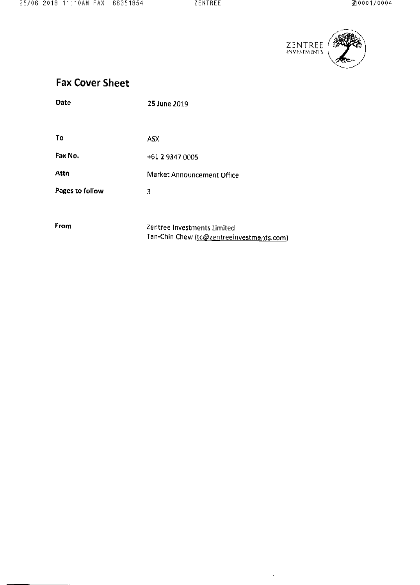$\bar{\rm I}$ 

 $\frac{1}{4}$  $\frac{1}{2}$ 

 $\frac{1}{3}$ 

 $\frac{1}{2}$ 

 $\mathbf{I}$ 

 $\hat{\mathcal{A}}$ 



|  | <b>Fax Cover Sheet</b> |  |
|--|------------------------|--|
|--|------------------------|--|

| <b>Fax Cover Sheet</b> |                                                                          |  |
|------------------------|--------------------------------------------------------------------------|--|
| Date                   | 25 June 2019                                                             |  |
|                        |                                                                          |  |
| Τo                     | ASX                                                                      |  |
| Fax No.                | +61 2 9347 0005                                                          |  |
| Attn                   | Market Announcement Office                                               |  |
| Pages to follow        | 3                                                                        |  |
|                        |                                                                          |  |
| From                   | Zentree Investments Limited<br>Tan-Chin Chew (tc@zentreeinvestments.com) |  |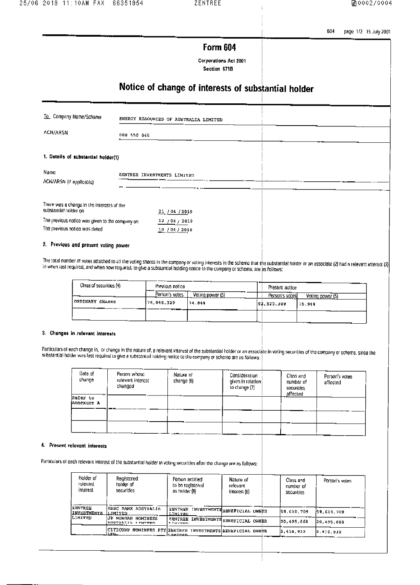604 page 1/2 15 July 2001

## Form 604

Corporations Act 2001 Section 671B

# Notice of change of interests of substantial holder

| To Company Name/Scheme                                                           |             | ENERGY RESOURCES OF AUSTRALIA LIMITED          |  |  |
|----------------------------------------------------------------------------------|-------------|------------------------------------------------|--|--|
| <b>ACN/ARSN</b>                                                                  | 008 550 865 |                                                |  |  |
| 1. Dotails of substantial holder(1)                                              |             |                                                |  |  |
| Namo<br>ACN/ARSN (if applicable)                                                 |             | ZENTREE INVESTMENTS LIMITED                    |  |  |
| There was a change in the interests of the<br>substantial holder on              |             | 21/06/2019                                     |  |  |
| The previous notice was given to the company on<br>The previous notice was dated |             | <u>12 / 04</u> / 2019<br><u>10 / 04 / 2019</u> |  |  |
| 2. Previous and present voting power                                             |             |                                                |  |  |

The total number of votes attached to all the voting shares in the company or voting interests in the scheme that the substantial holder or an associate (2) had a relevant interest (3)  $\left| \right\rangle$ 

| Class of securities (4) | Previous notice   |                  | Present notice  |                  |
|-------------------------|-------------------|------------------|-----------------|------------------|
|                         | Person's votes    | Vating power (5) | Person's votes! | Voting power (5) |
| ORDINARY SHARRS         | 176.846,329<br>-- | 14.646           | 82,525.309      | 15.94%           |
|                         |                   |                  |                 |                  |

#### 3. Changes in relevant Interests

Particulars of each change in, or change in the nature of, a relevant interest of the substantial holder or an associate in voting securities of the company or scheme, sinco the<br>substantial holder was last required to give

| Date of<br>спапре      | Person whose<br>relevant interest<br>changed | Nature of<br>change (6) | Consideration<br>given in relation<br>to change (7) | Class and<br>numbor of<br>socurities<br>affected | Person's votes<br>offected |
|------------------------|----------------------------------------------|-------------------------|-----------------------------------------------------|--------------------------------------------------|----------------------------|
| Refer to<br>Annexure A |                                              |                         |                                                     |                                                  |                            |
|                        |                                              |                         |                                                     |                                                  |                            |
|                        |                                              |                         |                                                     |                                                  |                            |

#### 4. Present relevant interests

Particulars of each relevant interest of the substantial holder in voting securities after the change are as follows:

| Holder of<br>relovant<br>interest         | Registered<br>holder of<br>securities                               | Person entitled<br>to bo realstered<br>as holder (8)             | Nature of<br>relevant<br>interest (6) | Class and<br>number of<br>securities | Porson's votes |
|-------------------------------------------|---------------------------------------------------------------------|------------------------------------------------------------------|---------------------------------------|--------------------------------------|----------------|
| ZENTREE<br>INVESTMENTS LIMITED<br>LIMITRD | HSBC DANK AUSTRALIA<br>JP MORGAN NOMINEES                           | <b>ZENTREK INVERTMENTSBENEFICIAL OWNER</b><br>LIMITED            |                                       | 59,610.709                           | 59.610.709     |
|                                           | ANCTOALIA ITMITED                                                   | <b>ZENTREE INVESTMENTS BENEFICIAL OWNER</b><br><b>L. Yargmon</b> |                                       | 20,495.668                           | 20,495.668     |
|                                           | CITICONP NOMINEES PTY ZENTREE INVESTMENTS BENEFICIAL OWNER<br>ستعدا | <b>LIMINED</b>                                                   |                                       | 2,418.932                            | 2,416,932      |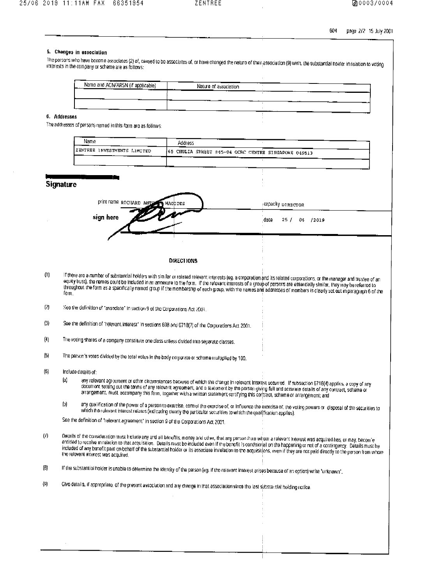604 page 2/2 15 July 2001

#### 5. Changes in association

The persons who have bocome associates (2) of, ceased to be associates of, or have changed the naturo of their association (9) with the substantial holder in relation to voting interests in the company or scheme are as follows:

| Name and ACN/ARSN (if applicable)<br>┳ | Nature of association |   |    |
|----------------------------------------|-----------------------|---|----|
|                                        |                       | . | -- |
|                                        |                       |   |    |

### 6. Addresses

The addressos of persons named in this form are as follows:

| Name                              | Address                                               |
|-----------------------------------|-------------------------------------------------------|
| EENTREE INVESTMENTS LIMITED<br>__ | (65 CHULIA STREET #45-04 OCBC CENTRE SINGAPORE 049513 |
|                                   |                                                       |